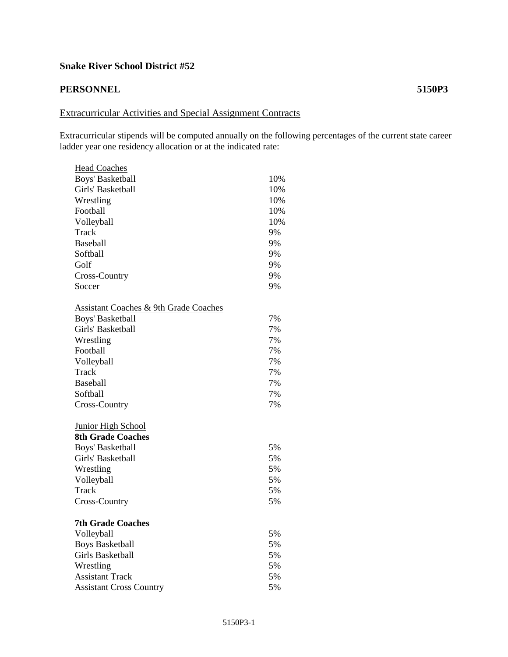## **Snake River School District #52**

## **PERSONNEL 5150P3**

## Extracurricular Activities and Special Assignment Contracts

Extracurricular stipends will be computed annually on the following percentages of the current state career ladder year one residency allocation or at the indicated rate:

| <b>Head Coaches</b>                              |     |
|--------------------------------------------------|-----|
| Boys' Basketball                                 | 10% |
| Girls' Basketball                                | 10% |
| Wrestling                                        | 10% |
| Football                                         | 10% |
| Volleyball                                       | 10% |
| Track                                            | 9%  |
| Baseball                                         | 9%  |
| Softball                                         | 9%  |
| Golf                                             | 9%  |
| Cross-Country                                    | 9%  |
| Soccer                                           | 9%  |
| <b>Assistant Coaches &amp; 9th Grade Coaches</b> |     |
| Boys' Basketball                                 | 7%  |
| Girls' Basketball                                | 7%  |
| Wrestling                                        | 7%  |
| Football                                         | 7%  |
| Volleyball                                       | 7%  |
| Track                                            | 7%  |
| <b>Baseball</b>                                  | 7%  |
| Softball                                         | 7%  |
| Cross-Country                                    | 7%  |
| <b>Junior High School</b>                        |     |
| <b>8th Grade Coaches</b>                         |     |
| Boys' Basketball                                 | 5%  |
| Girls' Basketball                                | 5%  |
| Wrestling                                        | 5%  |
| Volleyball                                       | 5%  |
| Track                                            | 5%  |
| Cross-Country                                    | 5%  |
| <b>7th Grade Coaches</b>                         |     |
| Volleyball                                       | 5%  |
| <b>Boys Basketball</b>                           | 5%  |
| Girls Basketball                                 | 5%  |
| Wrestling                                        | 5%  |
| <b>Assistant Track</b>                           | 5%  |
| <b>Assistant Cross Country</b>                   | 5%  |